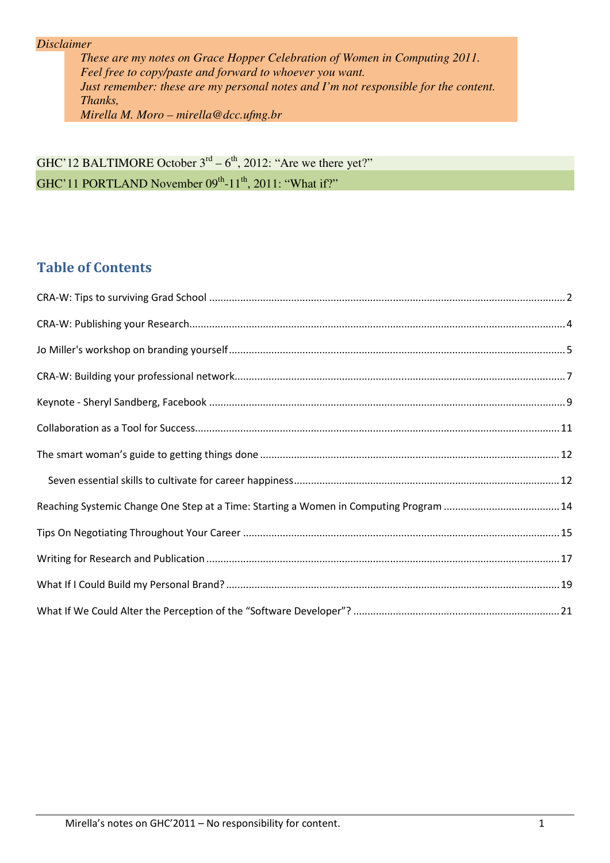#### *Disclaimer*

*These are my notes on Grace Hopper Celebration of Women in Computing 2011. Feel free to copy/paste and forward to whoever you want. Just remember: these are my personal notes and I'm not responsible for the content. Thanks, Mirella M. Moro – mirella@dcc.ufmg.br* 

GHC'12 BALTIMORE October  $3<sup>rd</sup> - 6<sup>th</sup>$ , 2012: "Are we there yet?" GHC'11 PORTLAND November  $09<sup>th</sup>$ -11<sup>th</sup>, 2011: "What if?"

### Table of Contents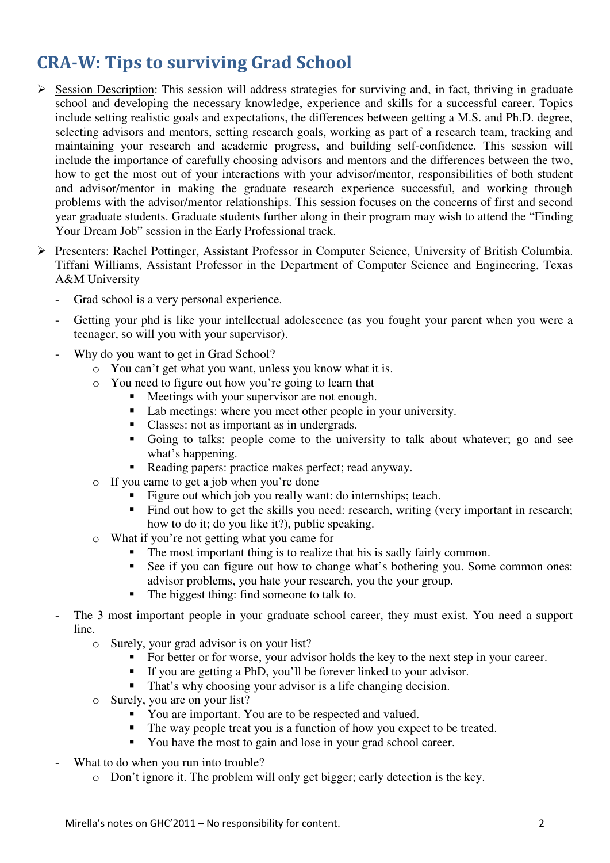### CRA-W: Tips to surviving Grad School

- $\triangleright$  Session Description: This session will address strategies for surviving and, in fact, thriving in graduate school and developing the necessary knowledge, experience and skills for a successful career. Topics include setting realistic goals and expectations, the differences between getting a M.S. and Ph.D. degree, selecting advisors and mentors, setting research goals, working as part of a research team, tracking and maintaining your research and academic progress, and building self-confidence. This session will include the importance of carefully choosing advisors and mentors and the differences between the two, how to get the most out of your interactions with your advisor/mentor, responsibilities of both student and advisor/mentor in making the graduate research experience successful, and working through problems with the advisor/mentor relationships. This session focuses on the concerns of first and second year graduate students. Graduate students further along in their program may wish to attend the "Finding Your Dream Job" session in the Early Professional track.
- Presenters: Rachel Pottinger, Assistant Professor in Computer Science, University of British Columbia. Tiffani Williams, Assistant Professor in the Department of Computer Science and Engineering, Texas A&M University
	- Grad school is a very personal experience.
	- Getting your phd is like your intellectual adolescence (as you fought your parent when you were a teenager, so will you with your supervisor).
	- Why do you want to get in Grad School?
		- o You can't get what you want, unless you know what it is.
		- o You need to figure out how you're going to learn that
			- -Meetings with your supervisor are not enough.
			- Lab meetings: where you meet other people in your university.
			- Classes: not as important as in undergrads.
			- Going to talks: people come to the university to talk about whatever; go and see what's happening.
			- -Reading papers: practice makes perfect; read anyway.
		- o If you came to get a job when you're done
			- -Figure out which job you really want: do internships; teach.
			- - Find out how to get the skills you need: research, writing (very important in research; how to do it; do you like it?), public speaking.
		- o What if you're not getting what you came for
			- The most important thing is to realize that his is sadly fairly common.
			- - See if you can figure out how to change what's bothering you. Some common ones: advisor problems, you hate your research, you the your group.
			- -The biggest thing: find someone to talk to.
	- The 3 most important people in your graduate school career, they must exist. You need a support line.
		- o Surely, your grad advisor is on your list?
			- For better or for worse, your advisor holds the key to the next step in your career.
			- If you are getting a PhD, you'll be forever linked to your advisor.
			- That's why choosing your advisor is a life changing decision.
		- o Surely, you are on your list?
			- You are important. You are to be respected and valued.
			- -The way people treat you is a function of how you expect to be treated.
			- -You have the most to gain and lose in your grad school career.
	- What to do when you run into trouble?
		- o Don't ignore it. The problem will only get bigger; early detection is the key.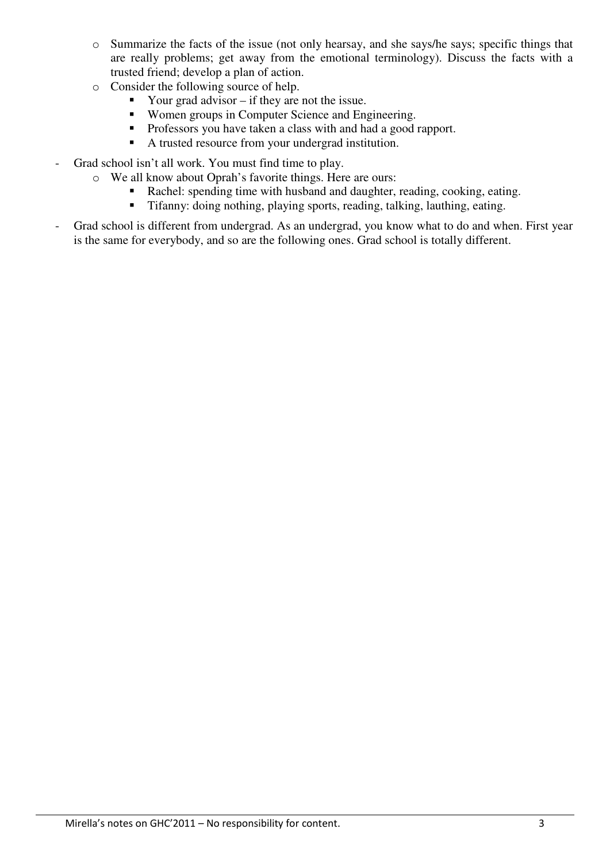- o Summarize the facts of the issue (not only hearsay, and she says/he says; specific things that are really problems; get away from the emotional terminology). Discuss the facts with a trusted friend; develop a plan of action.
- o Consider the following source of help.
	- -Your grad advisor – if they are not the issue.
	- -Women groups in Computer Science and Engineering.
	- Professors you have taken a class with and had a good rapport.
	- -A trusted resource from your undergrad institution.
- Grad school isn't all work. You must find time to play.
	- o We all know about Oprah's favorite things. Here are ours:
		- Rachel: spending time with husband and daughter, reading, cooking, eating.
		- $\blacksquare$ Tifanny: doing nothing, playing sports, reading, talking, lauthing, eating.
- Grad school is different from undergrad. As an undergrad, you know what to do and when. First year is the same for everybody, and so are the following ones. Grad school is totally different.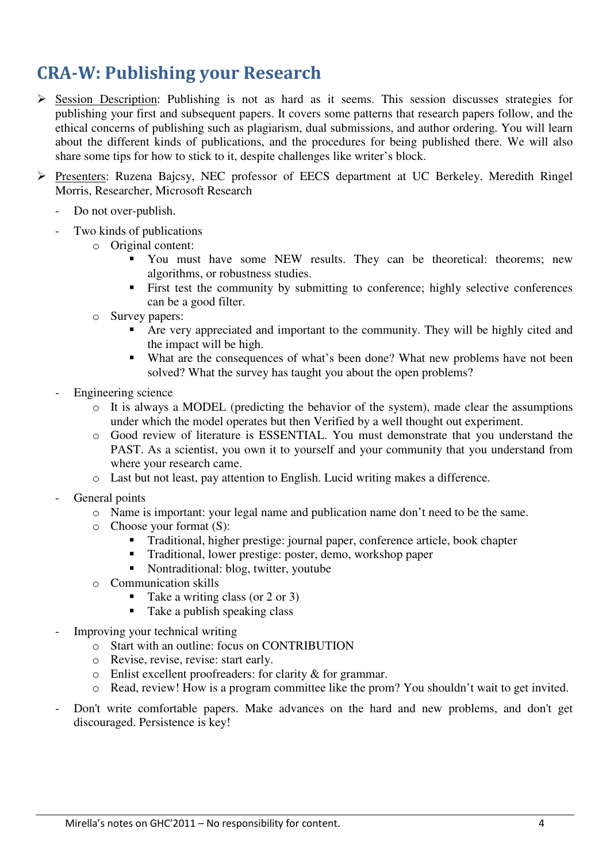### CRA-W: Publishing your Research

- $\triangleright$  Session Description: Publishing is not as hard as it seems. This session discusses strategies for publishing your first and subsequent papers. It covers some patterns that research papers follow, and the ethical concerns of publishing such as plagiarism, dual submissions, and author ordering. You will learn about the different kinds of publications, and the procedures for being published there. We will also share some tips for how to stick to it, despite challenges like writer's block.
- Presenters: Ruzena Bajcsy, NEC professor of EECS department at UC Berkeley. Meredith Ringel Morris, Researcher, Microsoft Research
	- Do not over-publish.
	- Two kinds of publications
		- o Original content:
			- You must have some NEW results. They can be theoretical: theorems; new algorithms, or robustness studies.
			- - First test the community by submitting to conference; highly selective conferences can be a good filter.
		- o Survey papers:
			- - Are very appreciated and important to the community. They will be highly cited and the impact will be high.
			- What are the consequences of what's been done? What new problems have not been solved? What the survey has taught you about the open problems?
	- Engineering science
		- o It is always a MODEL (predicting the behavior of the system), made clear the assumptions under which the model operates but then Verified by a well thought out experiment.
		- o Good review of literature is ESSENTIAL. You must demonstrate that you understand the PAST. As a scientist, you own it to yourself and your community that you understand from where your research came.
		- o Last but not least, pay attention to English. Lucid writing makes a difference.
	- General points
		- o Name is important: your legal name and publication name don't need to be the same.
		- o Choose your format (S):
			- Traditional, higher prestige: journal paper, conference article, book chapter
			- -Traditional, lower prestige: poster, demo, workshop paper
			- -Nontraditional: blog, twitter, youtube
		- o Communication skills
			- Take a writing class (or 2 or 3)
			- **Take a publish speaking class**
	- Improving your technical writing
		- o Start with an outline: focus on CONTRIBUTION
		- o Revise, revise, revise: start early.
		- o Enlist excellent proofreaders: for clarity & for grammar.
		- o Read, review! How is a program committee like the prom? You shouldn't wait to get invited.
	- Don't write comfortable papers. Make advances on the hard and new problems, and don't get discouraged. Persistence is key!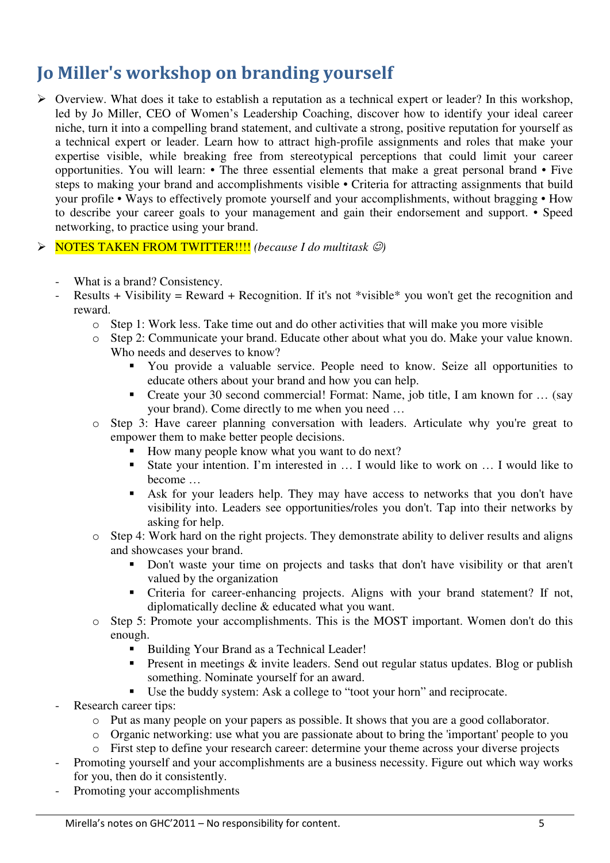## Jo Miller's workshop on branding yourself

 $\triangleright$  Overview. What does it take to establish a reputation as a technical expert or leader? In this workshop, led by Jo Miller, CEO of Women's Leadership Coaching, discover how to identify your ideal career niche, turn it into a compelling brand statement, and cultivate a strong, positive reputation for yourself as a technical expert or leader. Learn how to attract high-profile assignments and roles that make your expertise visible, while breaking free from stereotypical perceptions that could limit your career opportunities. You will learn: • The three essential elements that make a great personal brand • Five steps to making your brand and accomplishments visible • Criteria for attracting assignments that build your profile • Ways to effectively promote yourself and your accomplishments, without bragging • How to describe your career goals to your management and gain their endorsement and support. • Speed networking, to practice using your brand.

### NOTES TAKEN FROM TWITTER!!!! *(because I do multitask* ☺*)*

- What is a brand? Consistency.
- Results + Visibility = Reward + Recognition. If it's not \*visible\* you won't get the recognition and reward.
	- $\circ$  Step 1: Work less. Take time out and do other activities that will make you more visible
	- o Step 2: Communicate your brand. Educate other about what you do. Make your value known. Who needs and deserves to know?
		- - You provide a valuable service. People need to know. Seize all opportunities to educate others about your brand and how you can help.
		- Create your 30 second commercial! Format: Name, job title, I am known for ... (say your brand). Come directly to me when you need …
	- o Step 3: Have career planning conversation with leaders. Articulate why you're great to empower them to make better people decisions.
		- How many people know what you want to do next?
		- - State your intention. I'm interested in … I would like to work on … I would like to become …
		- - Ask for your leaders help. They may have access to networks that you don't have visibility into. Leaders see opportunities/roles you don't. Tap into their networks by asking for help.
	- o Step 4: Work hard on the right projects. They demonstrate ability to deliver results and aligns and showcases your brand.
		- Don't waste your time on projects and tasks that don't have visibility or that aren't valued by the organization
		- Criteria for career-enhancing projects. Aligns with your brand statement? If not, diplomatically decline & educated what you want.
	- o Step 5: Promote your accomplishments. This is the MOST important. Women don't do this enough.
		- -Building Your Brand as a Technical Leader!
		- -Present in meetings & invite leaders. Send out regular status updates. Blog or publish something. Nominate yourself for an award.
		- -Use the buddy system: Ask a college to "toot your horn" and reciprocate.
- Research career tips:
	- o Put as many people on your papers as possible. It shows that you are a good collaborator.
	- o Organic networking: use what you are passionate about to bring the 'important' people to you
	- o First step to define your research career: determine your theme across your diverse projects
- Promoting yourself and your accomplishments are a business necessity. Figure out which way works for you, then do it consistently.
- Promoting your accomplishments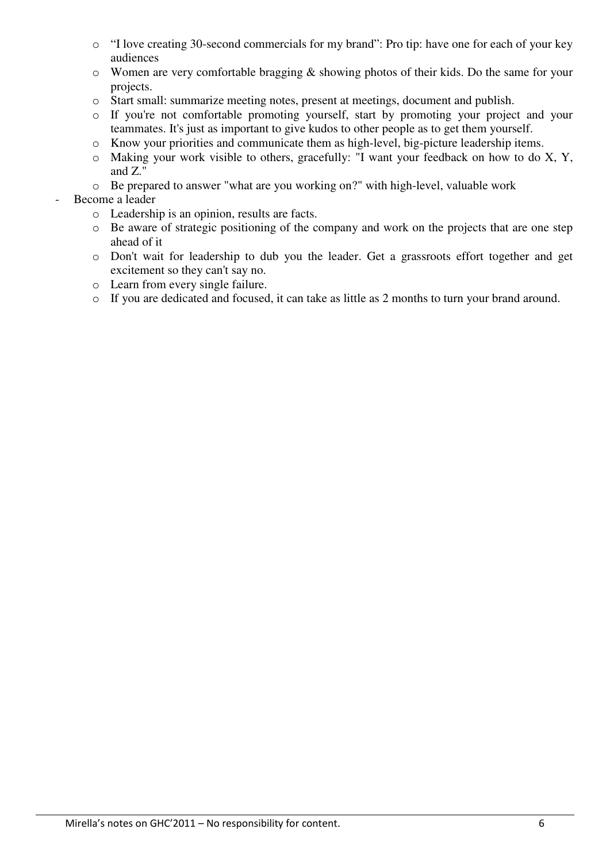- o "I love creating 30-second commercials for my brand": Pro tip: have one for each of your key audiences
- o Women are very comfortable bragging & showing photos of their kids. Do the same for your projects.
- o Start small: summarize meeting notes, present at meetings, document and publish.
- o If you're not comfortable promoting yourself, start by promoting your project and your teammates. It's just as important to give kudos to other people as to get them yourself.
- o Know your priorities and communicate them as high-level, big-picture leadership items.
- o Making your work visible to others, gracefully: "I want your feedback on how to do X, Y, and Z."
- o Be prepared to answer "what are you working on?" with high-level, valuable work

### Become a leader

- o Leadership is an opinion, results are facts.
- o Be aware of strategic positioning of the company and work on the projects that are one step ahead of it
- o Don't wait for leadership to dub you the leader. Get a grassroots effort together and get excitement so they can't say no.
- o Learn from every single failure.
- o If you are dedicated and focused, it can take as little as 2 months to turn your brand around.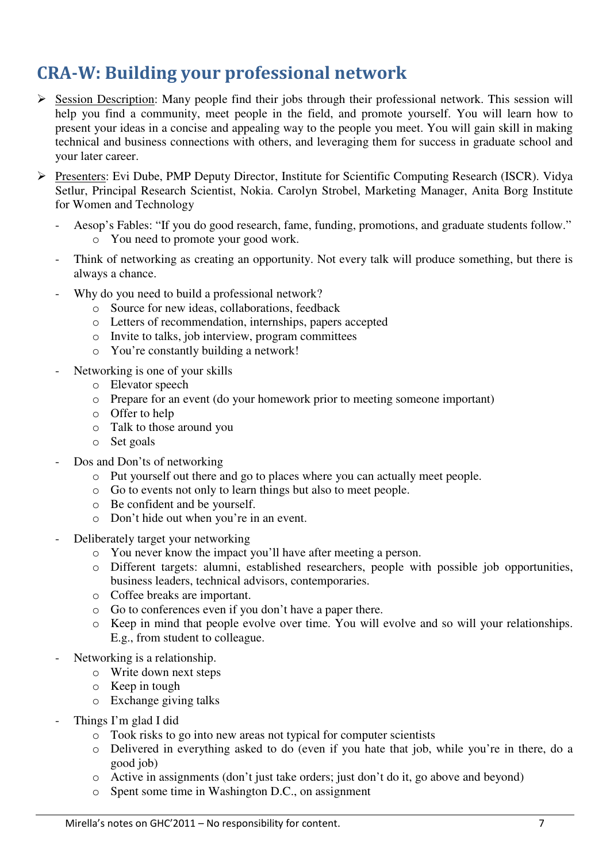## CRA-W: Building your professional network

- $\triangleright$  Session Description: Many people find their jobs through their professional network. This session will help you find a community, meet people in the field, and promote yourself. You will learn how to present your ideas in a concise and appealing way to the people you meet. You will gain skill in making technical and business connections with others, and leveraging them for success in graduate school and your later career.
- Presenters: Evi Dube, PMP Deputy Director, Institute for Scientific Computing Research (ISCR). Vidya Setlur, Principal Research Scientist, Nokia. Carolyn Strobel, Marketing Manager, Anita Borg Institute for Women and Technology
	- Aesop's Fables: "If you do good research, fame, funding, promotions, and graduate students follow." o You need to promote your good work.
	- Think of networking as creating an opportunity. Not every talk will produce something, but there is always a chance.
	- Why do you need to build a professional network?
		- o Source for new ideas, collaborations, feedback
		- o Letters of recommendation, internships, papers accepted
		- o Invite to talks, job interview, program committees
		- o You're constantly building a network!
	- Networking is one of your skills
		- o Elevator speech
		- o Prepare for an event (do your homework prior to meeting someone important)
		- o Offer to help
		- o Talk to those around you
		- o Set goals
	- Dos and Don'ts of networking
		- o Put yourself out there and go to places where you can actually meet people.
		- o Go to events not only to learn things but also to meet people.
		- o Be confident and be yourself.
		- o Don't hide out when you're in an event.
	- Deliberately target your networking
		- o You never know the impact you'll have after meeting a person.
		- o Different targets: alumni, established researchers, people with possible job opportunities, business leaders, technical advisors, contemporaries.
		- o Coffee breaks are important.
		- o Go to conferences even if you don't have a paper there.
		- o Keep in mind that people evolve over time. You will evolve and so will your relationships. E.g., from student to colleague.
	- Networking is a relationship.
		- o Write down next steps
		- o Keep in tough
		- o Exchange giving talks
	- Things I'm glad I did
		- o Took risks to go into new areas not typical for computer scientists
		- o Delivered in everything asked to do (even if you hate that job, while you're in there, do a good job)
		- o Active in assignments (don't just take orders; just don't do it, go above and beyond)
		- o Spent some time in Washington D.C., on assignment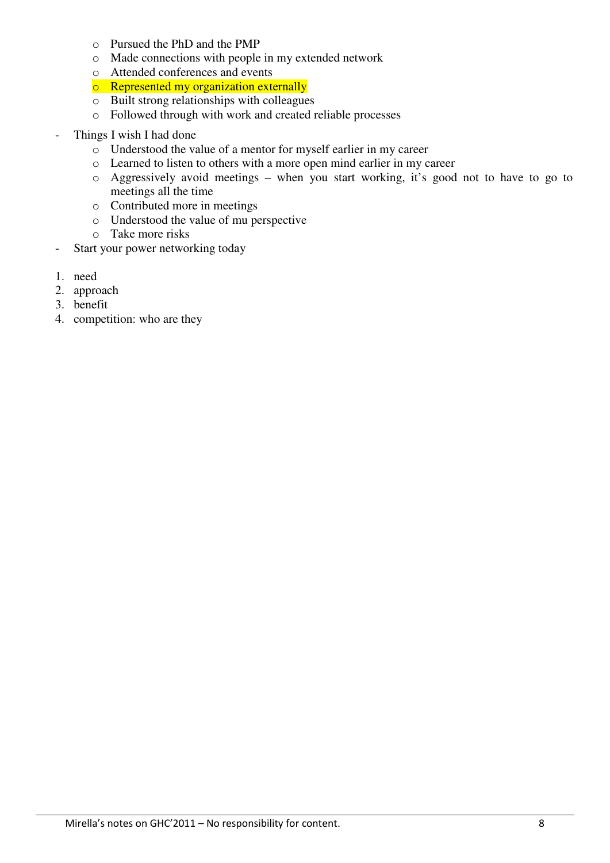- o Pursued the PhD and the PMP
- o Made connections with people in my extended network
- o Attended conferences and events
- o Represented my organization externally
- o Built strong relationships with colleagues
- o Followed through with work and created reliable processes
- Things I wish I had done
	- o Understood the value of a mentor for myself earlier in my career
	- o Learned to listen to others with a more open mind earlier in my career
	- o Aggressively avoid meetings when you start working, it's good not to have to go to meetings all the time
	- o Contributed more in meetings
	- o Understood the value of mu perspective
	- o Take more risks
- Start your power networking today
- 1. need
- 2. approach
- 3. benefit
- 4. competition: who are they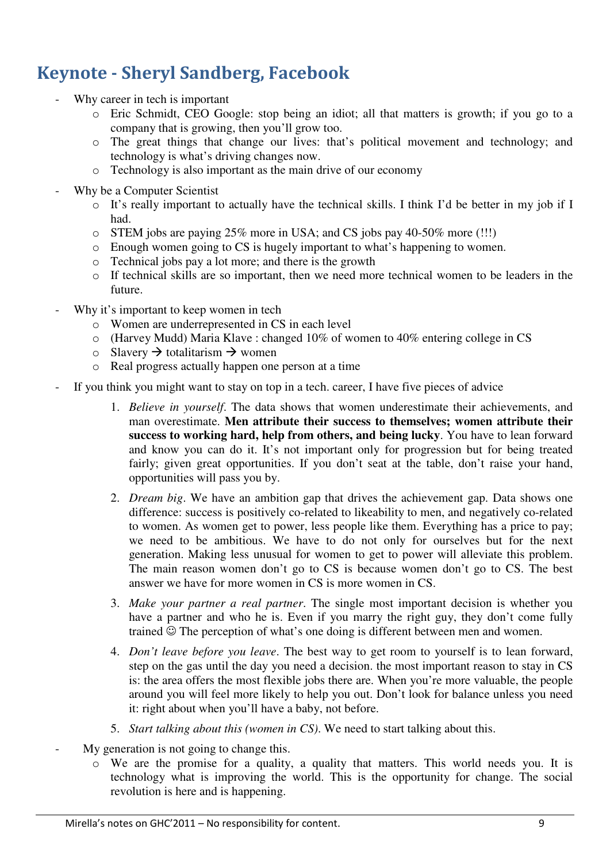## Keynote - Sheryl Sandberg, Facebook

- Why career in tech is important
	- o Eric Schmidt, CEO Google: stop being an idiot; all that matters is growth; if you go to a company that is growing, then you'll grow too.
	- o The great things that change our lives: that's political movement and technology; and technology is what's driving changes now.
	- o Technology is also important as the main drive of our economy
- Why be a Computer Scientist
	- o It's really important to actually have the technical skills. I think I'd be better in my job if I had.
	- o STEM jobs are paying 25% more in USA; and CS jobs pay 40-50% more (!!!)
	- $\circ$  Enough women going to CS is hugely important to what's happening to women.
	- o Technical jobs pay a lot more; and there is the growth
	- o If technical skills are so important, then we need more technical women to be leaders in the future.
- Why it's important to keep women in tech
	- o Women are underrepresented in CS in each level
	- o (Harvey Mudd) Maria Klave : changed 10% of women to 40% entering college in CS
	- o Slavery  $\rightarrow$  totalitarism  $\rightarrow$  women
	- o Real progress actually happen one person at a time
- If you think you might want to stay on top in a tech. career, I have five pieces of advice
	- 1. *Believe in yourself*. The data shows that women underestimate their achievements, and man overestimate. **Men attribute their success to themselves; women attribute their success to working hard, help from others, and being lucky**. You have to lean forward and know you can do it. It's not important only for progression but for being treated fairly; given great opportunities. If you don't seat at the table, don't raise your hand, opportunities will pass you by.
	- 2. *Dream big*. We have an ambition gap that drives the achievement gap. Data shows one difference: success is positively co-related to likeability to men, and negatively co-related to women. As women get to power, less people like them. Everything has a price to pay; we need to be ambitious. We have to do not only for ourselves but for the next generation. Making less unusual for women to get to power will alleviate this problem. The main reason women don't go to CS is because women don't go to CS. The best answer we have for more women in CS is more women in CS.
	- 3. *Make your partner a real partner*. The single most important decision is whether you have a partner and who he is. Even if you marry the right guy, they don't come fully trained  $\odot$  The perception of what's one doing is different between men and women.
	- 4. *Don't leave before you leave*. The best way to get room to yourself is to lean forward, step on the gas until the day you need a decision. the most important reason to stay in CS is: the area offers the most flexible jobs there are. When you're more valuable, the people around you will feel more likely to help you out. Don't look for balance unless you need it: right about when you'll have a baby, not before.
	- 5. *Start talking about this (women in CS)*. We need to start talking about this.
- My generation is not going to change this.
	- o We are the promise for a quality, a quality that matters. This world needs you. It is technology what is improving the world. This is the opportunity for change. The social revolution is here and is happening.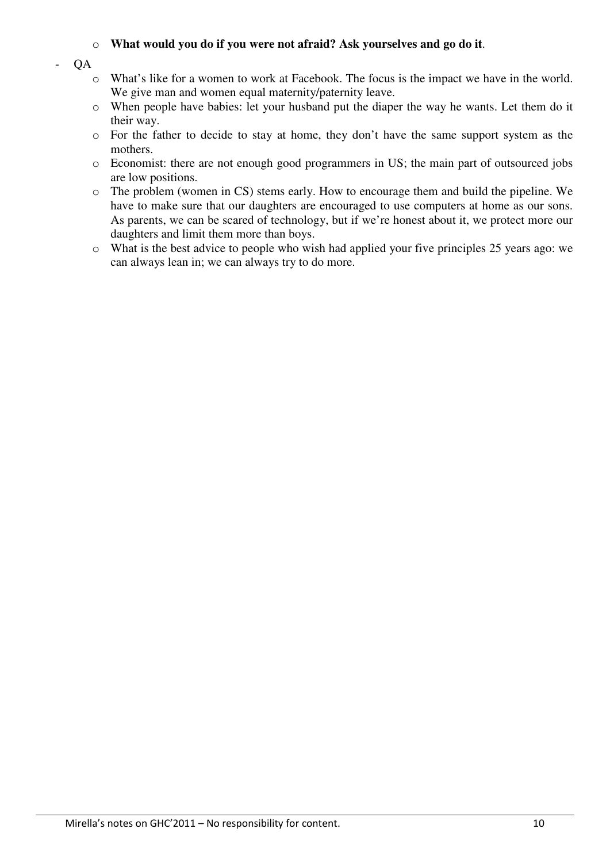#### o **What would you do if you were not afraid? Ask yourselves and go do it**.

#### - QA

- o What's like for a women to work at Facebook. The focus is the impact we have in the world. We give man and women equal maternity/paternity leave.
- o When people have babies: let your husband put the diaper the way he wants. Let them do it their way.
- o For the father to decide to stay at home, they don't have the same support system as the mothers.
- o Economist: there are not enough good programmers in US; the main part of outsourced jobs are low positions.
- o The problem (women in CS) stems early. How to encourage them and build the pipeline. We have to make sure that our daughters are encouraged to use computers at home as our sons. As parents, we can be scared of technology, but if we're honest about it, we protect more our daughters and limit them more than boys.
- o What is the best advice to people who wish had applied your five principles 25 years ago: we can always lean in; we can always try to do more.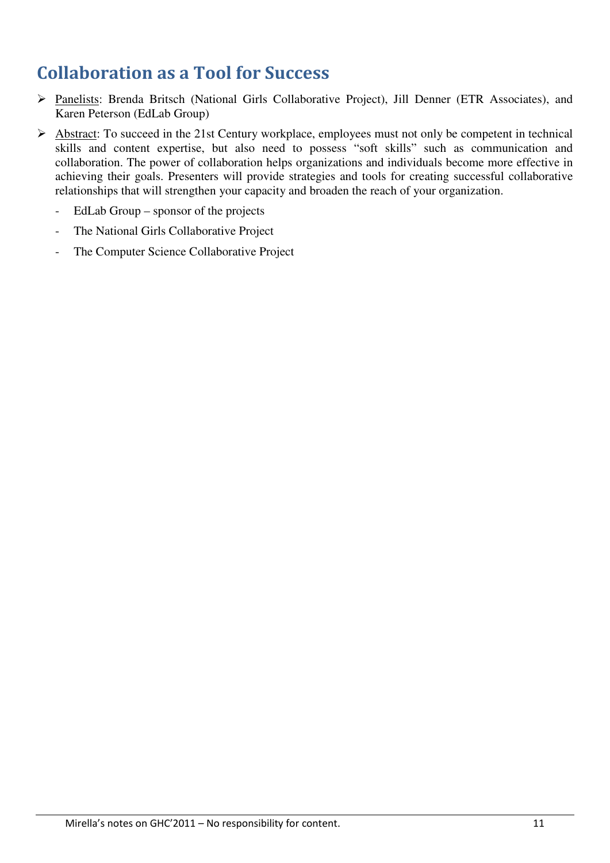### Collaboration as a Tool for Success

- Panelists: Brenda Britsch (National Girls Collaborative Project), Jill Denner (ETR Associates), and Karen Peterson (EdLab Group)
- $\triangleright$  Abstract: To succeed in the 21st Century workplace, employees must not only be competent in technical skills and content expertise, but also need to possess "soft skills" such as communication and collaboration. The power of collaboration helps organizations and individuals become more effective in achieving their goals. Presenters will provide strategies and tools for creating successful collaborative relationships that will strengthen your capacity and broaden the reach of your organization.
	- EdLab Group sponsor of the projects
	- The National Girls Collaborative Project
	- The Computer Science Collaborative Project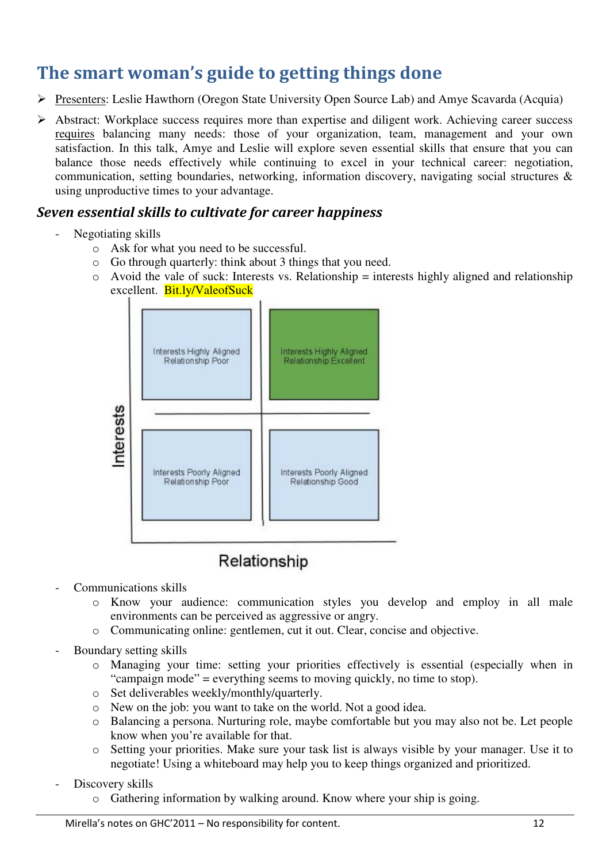### The smart woman's guide to getting things done

- Presenters: Leslie Hawthorn (Oregon State University Open Source Lab) and Amye Scavarda (Acquia)
- Abstract: Workplace success requires more than expertise and diligent work. Achieving career success requires balancing many needs: those of your organization, team, management and your own satisfaction. In this talk, Amye and Leslie will explore seven essential skills that ensure that you can balance those needs effectively while continuing to excel in your technical career: negotiation, communication, setting boundaries, networking, information discovery, navigating social structures & using unproductive times to your advantage.

### Seven essential skills to cultivate for career happiness

- Negotiating skills
	- o Ask for what you need to be successful.
	- o Go through quarterly: think about 3 things that you need.
	- $\circ$  Avoid the vale of suck: Interests vs. Relationship = interests highly aligned and relationship excellent. Bit.ly/ValeofSuck



### Relationship

- Communications skills
	- o Know your audience: communication styles you develop and employ in all male environments can be perceived as aggressive or angry.
	- o Communicating online: gentlemen, cut it out. Clear, concise and objective.
- Boundary setting skills
	- o Managing your time: setting your priorities effectively is essential (especially when in "campaign mode" = everything seems to moving quickly, no time to stop).
	- o Set deliverables weekly/monthly/quarterly.
	- o New on the job: you want to take on the world. Not a good idea.
	- o Balancing a persona. Nurturing role, maybe comfortable but you may also not be. Let people know when you're available for that.
	- o Setting your priorities. Make sure your task list is always visible by your manager. Use it to negotiate! Using a whiteboard may help you to keep things organized and prioritized.
- Discovery skills
	- o Gathering information by walking around. Know where your ship is going.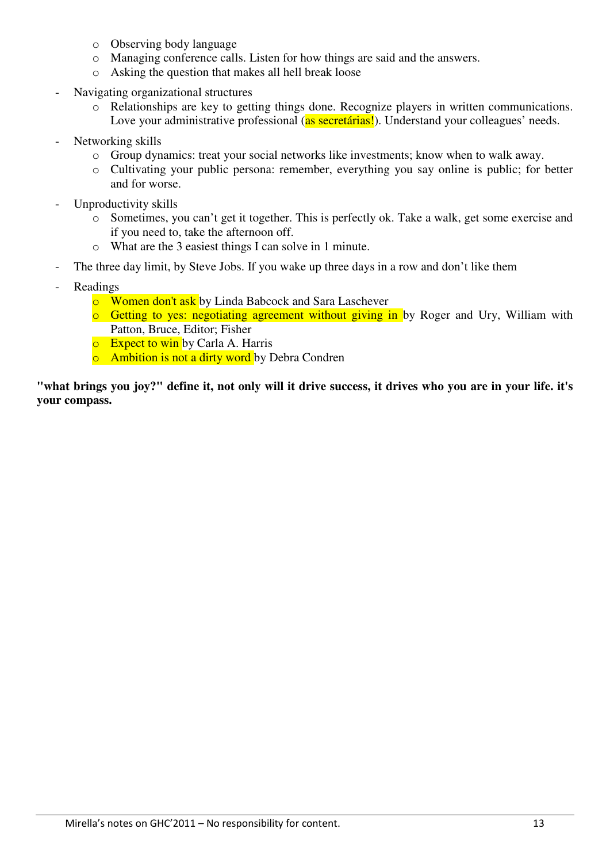- o Observing body language
- o Managing conference calls. Listen for how things are said and the answers.
- o Asking the question that makes all hell break loose
- Navigating organizational structures
	- o Relationships are key to getting things done. Recognize players in written communications. Love your administrative professional (as secretárias!). Understand your colleagues' needs.
- Networking skills
	- $\circ$  Group dynamics: treat your social networks like investments; know when to walk away.
	- o Cultivating your public persona: remember, everything you say online is public; for better and for worse.
- Unproductivity skills
	- o Sometimes, you can't get it together. This is perfectly ok. Take a walk, get some exercise and if you need to, take the afternoon off.
	- o What are the 3 easiest things I can solve in 1 minute.
- The three day limit, by Steve Jobs. If you wake up three days in a row and don't like them
- **Readings** 
	- **o** Women don't ask by Linda Babcock and Sara Laschever
	- o Getting to yes: negotiating agreement without giving in by Roger and Ury, William with Patton, Bruce, Editor; Fisher
	- $\circ$  Expect to win by Carla A. Harris
	- o Ambition is not a dirty word by Debra Condren

**"what brings you joy?" define it, not only will it drive success, it drives who you are in your life. it's your compass.**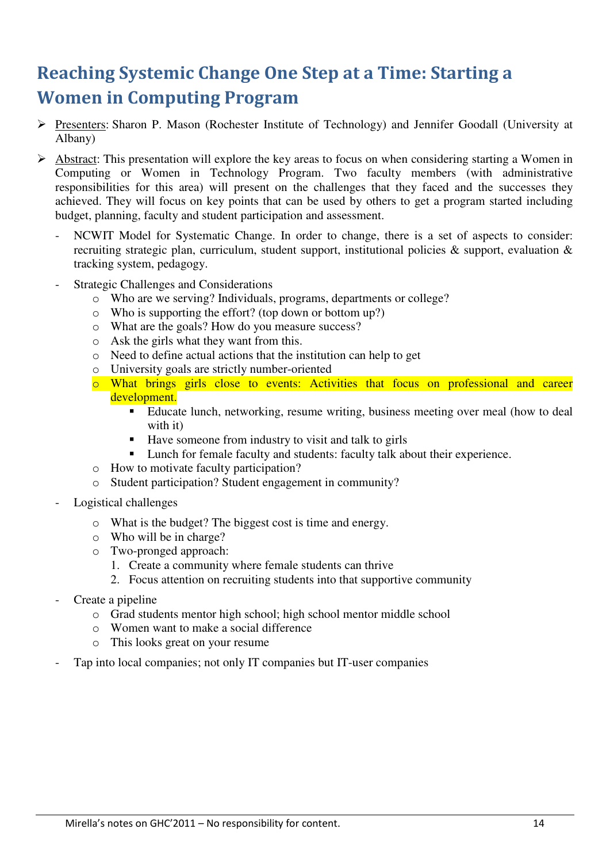# Reaching Systemic Change One Step at a Time: Starting a Women in Computing Program

- Presenters: Sharon P. Mason (Rochester Institute of Technology) and Jennifer Goodall (University at Albany)
- $\triangleright$  Abstract: This presentation will explore the key areas to focus on when considering starting a Women in Computing or Women in Technology Program. Two faculty members (with administrative responsibilities for this area) will present on the challenges that they faced and the successes they achieved. They will focus on key points that can be used by others to get a program started including budget, planning, faculty and student participation and assessment.
	- NCWIT Model for Systematic Change. In order to change, there is a set of aspects to consider: recruiting strategic plan, curriculum, student support, institutional policies & support, evaluation & tracking system, pedagogy.
	- Strategic Challenges and Considerations
		- o Who are we serving? Individuals, programs, departments or college?
		- o Who is supporting the effort? (top down or bottom up?)
		- o What are the goals? How do you measure success?
		- o Ask the girls what they want from this.
		- o Need to define actual actions that the institution can help to get
		- o University goals are strictly number-oriented
		- o What brings girls close to events: Activities that focus on professional and career development.
			- - Educate lunch, networking, resume writing, business meeting over meal (how to deal with it)
			- Have someone from industry to visit and talk to girls
			- Lunch for female faculty and students: faculty talk about their experience.
		- o How to motivate faculty participation?
		- o Student participation? Student engagement in community?
	- Logistical challenges
		- o What is the budget? The biggest cost is time and energy.
		- o Who will be in charge?
		- o Two-pronged approach:
			- 1. Create a community where female students can thrive
			- 2. Focus attention on recruiting students into that supportive community
	- Create a pipeline
		- o Grad students mentor high school; high school mentor middle school
		- o Women want to make a social difference
		- o This looks great on your resume
	- Tap into local companies; not only IT companies but IT-user companies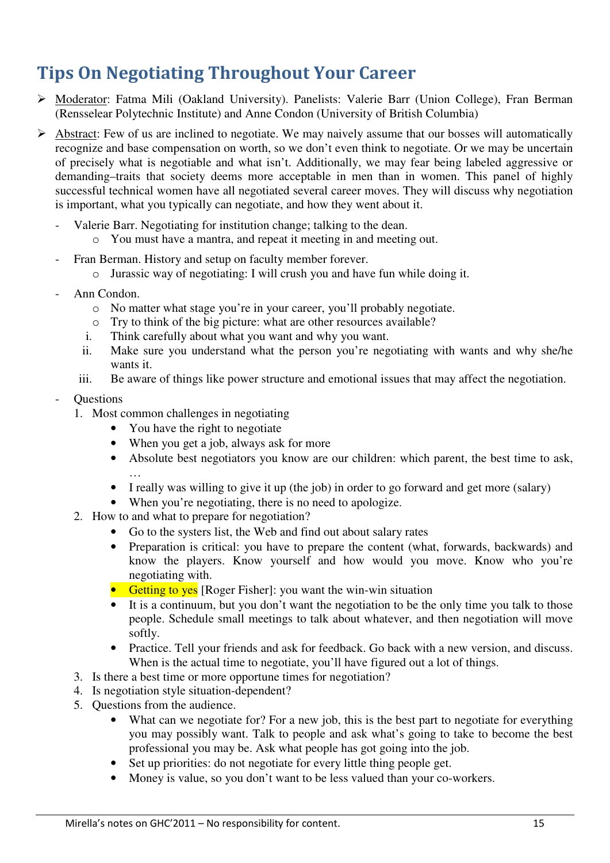## Tips On Negotiating Throughout Your Career

- Moderator: Fatma Mili (Oakland University). Panelists: Valerie Barr (Union College), Fran Berman (Rensselear Polytechnic Institute) and Anne Condon (University of British Columbia)
- $\triangleright$  Abstract: Few of us are inclined to negotiate. We may naively assume that our bosses will automatically recognize and base compensation on worth, so we don't even think to negotiate. Or we may be uncertain of precisely what is negotiable and what isn't. Additionally, we may fear being labeled aggressive or demanding–traits that society deems more acceptable in men than in women. This panel of highly successful technical women have all negotiated several career moves. They will discuss why negotiation is important, what you typically can negotiate, and how they went about it.
	- Valerie Barr. Negotiating for institution change; talking to the dean.
		- o You must have a mantra, and repeat it meeting in and meeting out.
	- Fran Berman. History and setup on faculty member forever.
		- o Jurassic way of negotiating: I will crush you and have fun while doing it.
	- Ann Condon.
		- o No matter what stage you're in your career, you'll probably negotiate.
		- o Try to think of the big picture: what are other resources available?
		- i. Think carefully about what you want and why you want.
		- ii. Make sure you understand what the person you're negotiating with wants and why she/he wants it.
		- iii. Be aware of things like power structure and emotional issues that may affect the negotiation.

#### - Questions

- 1. Most common challenges in negotiating
	- You have the right to negotiate
	- When you get a job, always ask for more
	- Absolute best negotiators you know are our children: which parent, the best time to ask, …
	- I really was willing to give it up (the job) in order to go forward and get more (salary)
	- When you're negotiating, there is no need to apologize.
- 2. How to and what to prepare for negotiation?
	- Go to the systers list, the Web and find out about salary rates
	- Preparation is critical: you have to prepare the content (what, forwards, backwards) and know the players. Know yourself and how would you move. Know who you're negotiating with.
	- Getting to yes [Roger Fisher]: you want the win-win situation
	- It is a continuum, but you don't want the negotiation to be the only time you talk to those people. Schedule small meetings to talk about whatever, and then negotiation will move softly.
	- Practice. Tell your friends and ask for feedback. Go back with a new version, and discuss. When is the actual time to negotiate, you'll have figured out a lot of things.
- 3. Is there a best time or more opportune times for negotiation?
- 4. Is negotiation style situation-dependent?
- 5. Questions from the audience.
	- What can we negotiate for? For a new job, this is the best part to negotiate for everything you may possibly want. Talk to people and ask what's going to take to become the best professional you may be. Ask what people has got going into the job.
	- Set up priorities: do not negotiate for every little thing people get.
	- Money is value, so you don't want to be less valued than your co-workers.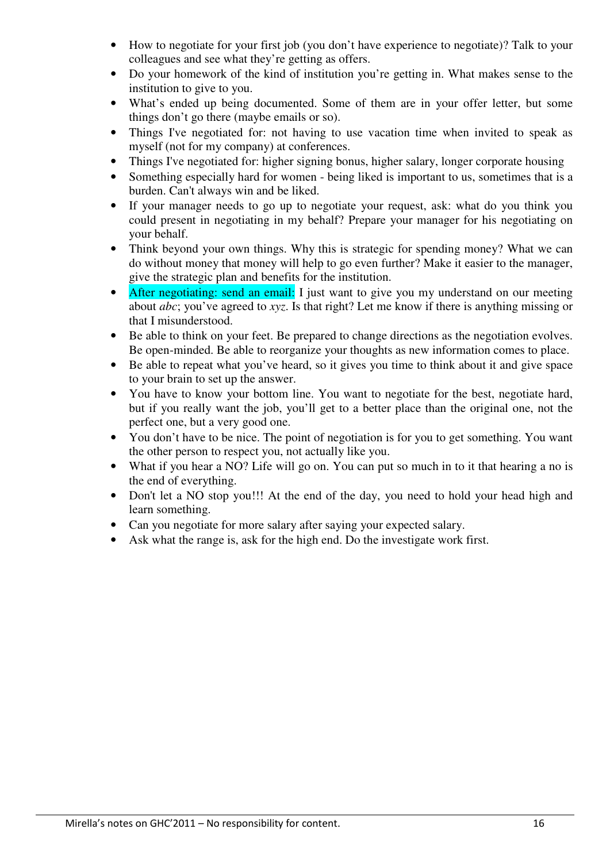- How to negotiate for your first job (you don't have experience to negotiate)? Talk to your colleagues and see what they're getting as offers.
- Do your homework of the kind of institution you're getting in. What makes sense to the institution to give to you.
- What's ended up being documented. Some of them are in your offer letter, but some things don't go there (maybe emails or so).
- Things I've negotiated for: not having to use vacation time when invited to speak as myself (not for my company) at conferences.
- Things I've negotiated for: higher signing bonus, higher salary, longer corporate housing
- Something especially hard for women being liked is important to us, sometimes that is a burden. Can't always win and be liked.
- If your manager needs to go up to negotiate your request, ask: what do you think you could present in negotiating in my behalf? Prepare your manager for his negotiating on your behalf.
- Think beyond your own things. Why this is strategic for spending money? What we can do without money that money will help to go even further? Make it easier to the manager, give the strategic plan and benefits for the institution.
- After negotiating: send an email: I just want to give you my understand on our meeting about *abc*; you've agreed to *xyz*. Is that right? Let me know if there is anything missing or that I misunderstood.
- Be able to think on your feet. Be prepared to change directions as the negotiation evolves. Be open-minded. Be able to reorganize your thoughts as new information comes to place.
- Be able to repeat what you've heard, so it gives you time to think about it and give space to your brain to set up the answer.
- You have to know your bottom line. You want to negotiate for the best, negotiate hard, but if you really want the job, you'll get to a better place than the original one, not the perfect one, but a very good one.
- You don't have to be nice. The point of negotiation is for you to get something. You want the other person to respect you, not actually like you.
- What if you hear a NO? Life will go on. You can put so much in to it that hearing a no is the end of everything.
- Don't let a NO stop you!!! At the end of the day, you need to hold your head high and learn something.
- Can you negotiate for more salary after saying your expected salary.
- Ask what the range is, ask for the high end. Do the investigate work first.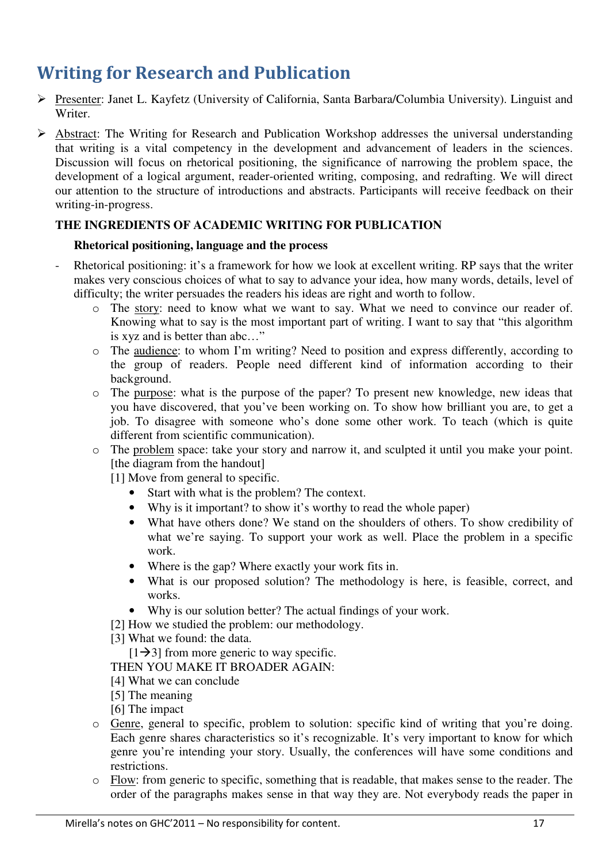## Writing for Research and Publication

- Presenter: Janet L. Kayfetz (University of California, Santa Barbara/Columbia University). Linguist and Writer.
- $\triangleright$  Abstract: The Writing for Research and Publication Workshop addresses the universal understanding that writing is a vital competency in the development and advancement of leaders in the sciences. Discussion will focus on rhetorical positioning, the significance of narrowing the problem space, the development of a logical argument, reader-oriented writing, composing, and redrafting. We will direct our attention to the structure of introductions and abstracts. Participants will receive feedback on their writing-in-progress.

### **THE INGREDIENTS OF ACADEMIC WRITING FOR PUBLICATION**

### **Rhetorical positioning, language and the process**

- Rhetorical positioning: it's a framework for how we look at excellent writing. RP says that the writer makes very conscious choices of what to say to advance your idea, how many words, details, level of difficulty; the writer persuades the readers his ideas are right and worth to follow.
	- o The story: need to know what we want to say. What we need to convince our reader of. Knowing what to say is the most important part of writing. I want to say that "this algorithm is xyz and is better than abc…"
	- o The audience: to whom I'm writing? Need to position and express differently, according to the group of readers. People need different kind of information according to their background.
	- o The purpose: what is the purpose of the paper? To present new knowledge, new ideas that you have discovered, that you've been working on. To show how brilliant you are, to get a job. To disagree with someone who's done some other work. To teach (which is quite different from scientific communication).
	- o The problem space: take your story and narrow it, and sculpted it until you make your point. [the diagram from the handout]
		- [1] Move from general to specific.
			- Start with what is the problem? The context.
			- Why is it important? to show it's worthy to read the whole paper)
			- What have others done? We stand on the shoulders of others. To show credibility of what we're saying. To support your work as well. Place the problem in a specific work.
			- Where is the gap? Where exactly your work fits in.
			- What is our proposed solution? The methodology is here, is feasible, correct, and works.
			- Why is our solution better? The actual findings of your work.
		- [2] How we studied the problem: our methodology.
		- [3] What we found: the data.
			- $[1\rightarrow 3]$  from more generic to way specific.

### THEN YOU MAKE IT BROADER AGAIN:

- [4] What we can conclude
- [5] The meaning
- [6] The impact
- o Genre, general to specific, problem to solution: specific kind of writing that you're doing. Each genre shares characteristics so it's recognizable. It's very important to know for which genre you're intending your story. Usually, the conferences will have some conditions and restrictions.
- $\circ$  Flow: from generic to specific, something that is readable, that makes sense to the reader. The order of the paragraphs makes sense in that way they are. Not everybody reads the paper in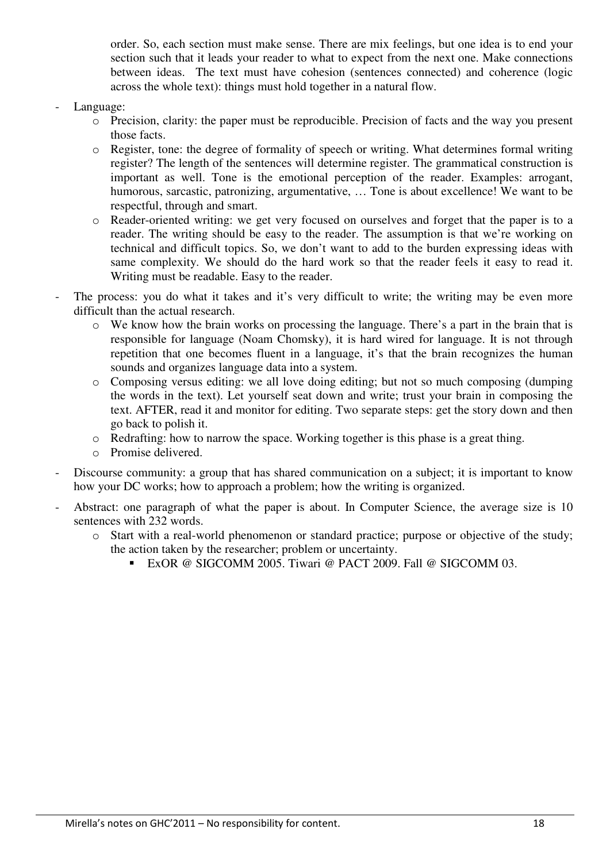order. So, each section must make sense. There are mix feelings, but one idea is to end your section such that it leads your reader to what to expect from the next one. Make connections between ideas. The text must have cohesion (sentences connected) and coherence (logic across the whole text): things must hold together in a natural flow.

### Language:

- o Precision, clarity: the paper must be reproducible. Precision of facts and the way you present those facts.
- o Register, tone: the degree of formality of speech or writing. What determines formal writing register? The length of the sentences will determine register. The grammatical construction is important as well. Tone is the emotional perception of the reader. Examples: arrogant, humorous, sarcastic, patronizing, argumentative, ... Tone is about excellence! We want to be respectful, through and smart.
- o Reader-oriented writing: we get very focused on ourselves and forget that the paper is to a reader. The writing should be easy to the reader. The assumption is that we're working on technical and difficult topics. So, we don't want to add to the burden expressing ideas with same complexity. We should do the hard work so that the reader feels it easy to read it. Writing must be readable. Easy to the reader.
- The process: you do what it takes and it's very difficult to write; the writing may be even more difficult than the actual research.
	- o We know how the brain works on processing the language. There's a part in the brain that is responsible for language (Noam Chomsky), it is hard wired for language. It is not through repetition that one becomes fluent in a language, it's that the brain recognizes the human sounds and organizes language data into a system.
	- o Composing versus editing: we all love doing editing; but not so much composing (dumping the words in the text). Let yourself seat down and write; trust your brain in composing the text. AFTER, read it and monitor for editing. Two separate steps: get the story down and then go back to polish it.
	- o Redrafting: how to narrow the space. Working together is this phase is a great thing.
	- o Promise delivered.
- Discourse community: a group that has shared communication on a subject; it is important to know how your DC works; how to approach a problem; how the writing is organized.
- Abstract: one paragraph of what the paper is about. In Computer Science, the average size is 10 sentences with 232 words.
	- o Start with a real-world phenomenon or standard practice; purpose or objective of the study; the action taken by the researcher; problem or uncertainty.
		- **EXOR @ SIGCOMM 2005. Tiwari @ PACT 2009. Fall @ SIGCOMM 03.**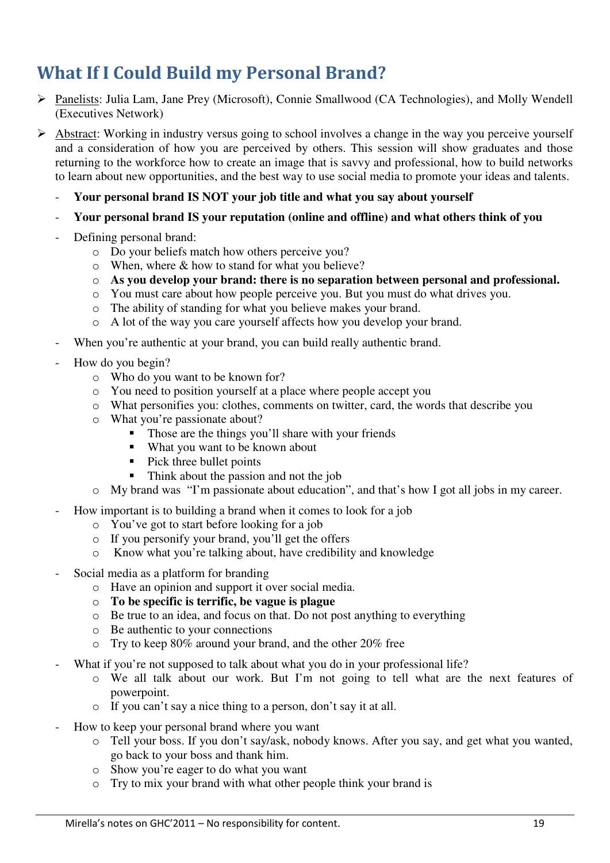## What If I Could Build my Personal Brand?

- Panelists: Julia Lam, Jane Prey (Microsoft), Connie Smallwood (CA Technologies), and Molly Wendell (Executives Network)
- $\triangleright$  Abstract: Working in industry versus going to school involves a change in the way you perceive yourself and a consideration of how you are perceived by others. This session will show graduates and those returning to the workforce how to create an image that is savvy and professional, how to build networks to learn about new opportunities, and the best way to use social media to promote your ideas and talents.
	- **Your personal brand IS NOT your job title and what you say about yourself**
	- **Your personal brand IS your reputation (online and offline) and what others think of you**
	- Defining personal brand:
		- o Do your beliefs match how others perceive you?
		- o When, where & how to stand for what you believe?
		- o **As you develop your brand: there is no separation between personal and professional.**
		- o You must care about how people perceive you. But you must do what drives you.
		- o The ability of standing for what you believe makes your brand.
		- o A lot of the way you care yourself affects how you develop your brand.
	- When you're authentic at your brand, you can build really authentic brand.
	- How do you begin?
		- o Who do you want to be known for?
		- o You need to position yourself at a place where people accept you
		- o What personifies you: clothes, comments on twitter, card, the words that describe you
		- o What you're passionate about?
			- Those are the things you'll share with your friends
			- What you want to be known about
			- Pick three bullet points
			- -Think about the passion and not the job
		- o My brand was "I'm passionate about education", and that's how I got all jobs in my career.
	- How important is to building a brand when it comes to look for a job
		- o You've got to start before looking for a job
		- o If you personify your brand, you'll get the offers
		- o Know what you're talking about, have credibility and knowledge
	- Social media as a platform for branding
		- o Have an opinion and support it over social media.
		- o **To be specific is terrific, be vague is plague**
		- o Be true to an idea, and focus on that. Do not post anything to everything
		- o Be authentic to your connections
		- o Try to keep 80% around your brand, and the other 20% free
	- What if you're not supposed to talk about what you do in your professional life?
		- o We all talk about our work. But I'm not going to tell what are the next features of powerpoint.
		- o If you can't say a nice thing to a person, don't say it at all.
	- How to keep your personal brand where you want
		- o Tell your boss. If you don't say/ask, nobody knows. After you say, and get what you wanted, go back to your boss and thank him.
		- o Show you're eager to do what you want
		- o Try to mix your brand with what other people think your brand is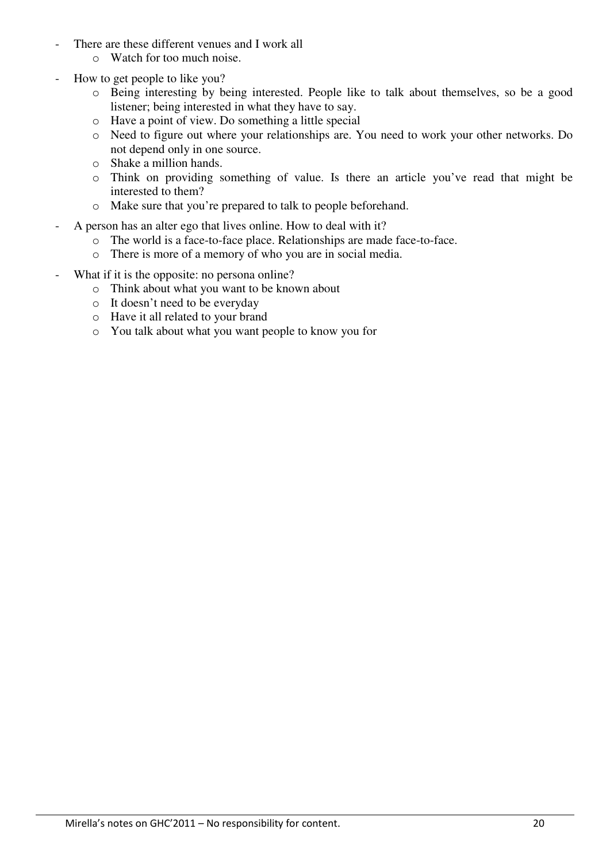- There are these different venues and I work all
	- o Watch for too much noise.
- How to get people to like you?
	- o Being interesting by being interested. People like to talk about themselves, so be a good listener; being interested in what they have to say.
	- o Have a point of view. Do something a little special
	- o Need to figure out where your relationships are. You need to work your other networks. Do not depend only in one source.
	- o Shake a million hands.
	- o Think on providing something of value. Is there an article you've read that might be interested to them?
	- o Make sure that you're prepared to talk to people beforehand.
- A person has an alter ego that lives online. How to deal with it?
	- o The world is a face-to-face place. Relationships are made face-to-face.
	- o There is more of a memory of who you are in social media.
- What if it is the opposite: no persona online?
	- o Think about what you want to be known about
	- o It doesn't need to be everyday
	- o Have it all related to your brand
	- o You talk about what you want people to know you for